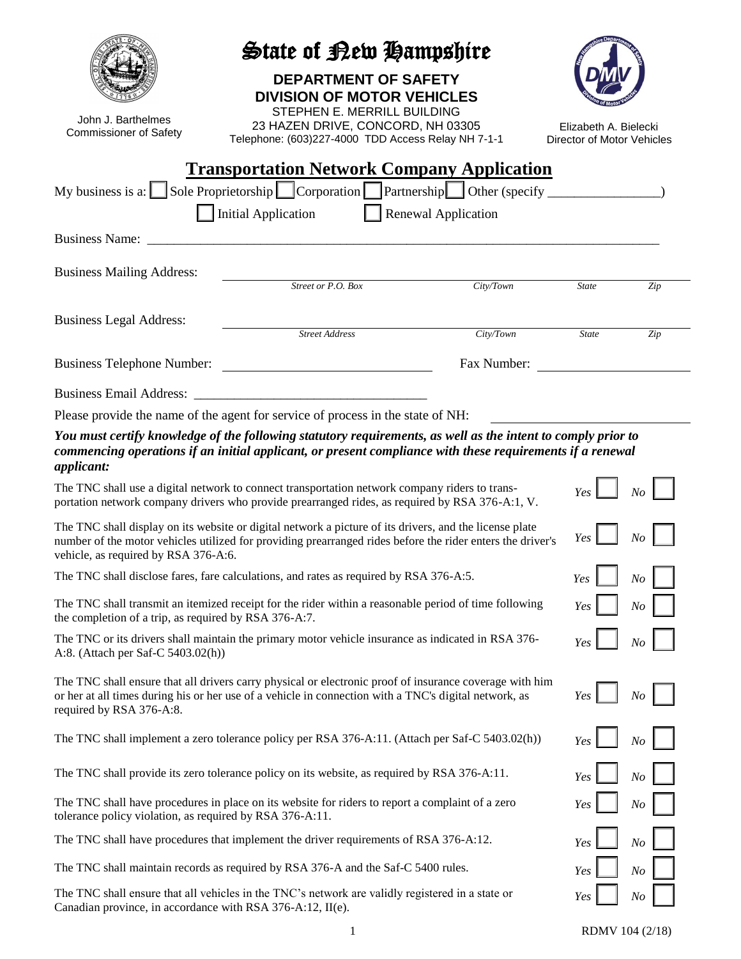| John J. Barthelmes<br><b>Commissioner of Safety</b>                                                                                                                                                                                                                  | State of Bew Hampshire<br><b>DEPARTMENT OF SAFETY</b><br><b>DIVISION OF MOTOR VEHICLES</b><br>STEPHEN E. MERRILL BUILDING<br>23 HAZEN DRIVE, CONCORD, NH 03305<br>Telephone: (603)227-4000 TDD Access Relay NH 7-1-1 |                            | Elizabeth A. Bielecki<br>Director of Motor Vehicles |                |  |  |
|----------------------------------------------------------------------------------------------------------------------------------------------------------------------------------------------------------------------------------------------------------------------|----------------------------------------------------------------------------------------------------------------------------------------------------------------------------------------------------------------------|----------------------------|-----------------------------------------------------|----------------|--|--|
| <b>Transportation Network Company Application</b>                                                                                                                                                                                                                    |                                                                                                                                                                                                                      |                            |                                                     |                |  |  |
|                                                                                                                                                                                                                                                                      | My business is a: Sole Proprietorship Corporation Partnership Other (specify ________<br><b>Initial Application</b>                                                                                                  | <b>Renewal Application</b> |                                                     |                |  |  |
| <b>Business Name:</b>                                                                                                                                                                                                                                                |                                                                                                                                                                                                                      |                            |                                                     |                |  |  |
| <b>Business Mailing Address:</b>                                                                                                                                                                                                                                     | Street or P.O. Box                                                                                                                                                                                                   | City/Town                  | <b>State</b>                                        | Zip            |  |  |
| <b>Business Legal Address:</b>                                                                                                                                                                                                                                       | <b>Street Address</b>                                                                                                                                                                                                | City/Town                  | <b>State</b>                                        | Zip            |  |  |
| <b>Business Telephone Number:</b>                                                                                                                                                                                                                                    |                                                                                                                                                                                                                      | Fax Number:                |                                                     |                |  |  |
|                                                                                                                                                                                                                                                                      |                                                                                                                                                                                                                      |                            |                                                     |                |  |  |
|                                                                                                                                                                                                                                                                      | Please provide the name of the agent for service of process in the state of NH:                                                                                                                                      |                            |                                                     |                |  |  |
| You must certify knowledge of the following statutory requirements, as well as the intent to comply prior to<br>commencing operations if an initial applicant, or present compliance with these requirements if a renewal<br>applicant:                              |                                                                                                                                                                                                                      |                            |                                                     |                |  |  |
| The TNC shall use a digital network to connect transportation network company riders to trans-<br>N <sub>O</sub><br>Yes<br>portation network company drivers who provide prearranged rides, as required by RSA 376-A:1, V.                                           |                                                                                                                                                                                                                      |                            |                                                     |                |  |  |
| The TNC shall display on its website or digital network a picture of its drivers, and the license plate<br>Yes<br>number of the motor vehicles utilized for providing prearranged rides before the rider enters the driver's<br>vehicle, as required by RSA 376-A:6. |                                                                                                                                                                                                                      |                            |                                                     |                |  |  |
| The TNC shall disclose fares, fare calculations, and rates as required by RSA 376-A:5.                                                                                                                                                                               |                                                                                                                                                                                                                      |                            | Yes                                                 | N <sub>O</sub> |  |  |
| The TNC shall transmit an itemized receipt for the rider within a reasonable period of time following<br>the completion of a trip, as required by RSA 376-A:7.                                                                                                       | Yes                                                                                                                                                                                                                  | N <sub>O</sub>             |                                                     |                |  |  |
| The TNC or its drivers shall maintain the primary motor vehicle insurance as indicated in RSA 376-<br>A:8. (Attach per Saf-C 5403.02(h))                                                                                                                             | Yes                                                                                                                                                                                                                  | N <sub>O</sub>             |                                                     |                |  |  |
| required by RSA 376-A:8.                                                                                                                                                                                                                                             | The TNC shall ensure that all drivers carry physical or electronic proof of insurance coverage with him<br>or her at all times during his or her use of a vehicle in connection with a TNC's digital network, as     |                            | Yes                                                 | No             |  |  |
|                                                                                                                                                                                                                                                                      | The TNC shall implement a zero tolerance policy per RSA 376-A:11. (Attach per Saf-C 5403.02(h))                                                                                                                      |                            | Yes                                                 | N <sub>O</sub> |  |  |
| The TNC shall provide its zero tolerance policy on its website, as required by RSA 376-A:11.                                                                                                                                                                         |                                                                                                                                                                                                                      |                            |                                                     | $\sqrt{N}$     |  |  |
| The TNC shall have procedures in place on its website for riders to report a complaint of a zero<br>tolerance policy violation, as required by RSA 376-A:11.                                                                                                         |                                                                                                                                                                                                                      |                            |                                                     | $\it No$       |  |  |
| The TNC shall have procedures that implement the driver requirements of RSA 376-A:12.                                                                                                                                                                                |                                                                                                                                                                                                                      |                            |                                                     | N <sub>O</sub> |  |  |
| The TNC shall maintain records as required by RSA 376-A and the Saf-C 5400 rules.                                                                                                                                                                                    |                                                                                                                                                                                                                      |                            |                                                     | N <sub>O</sub> |  |  |
| The TNC shall ensure that all vehicles in the TNC's network are validly registered in a state or<br>Canadian province in accordance with RSA 376- $\Delta$ · 12 II(e)                                                                                                |                                                                                                                                                                                                                      |                            | Yes                                                 | N <sub>O</sub> |  |  |

Canadian province, in accordance with RSA 376-A:12, II(e).